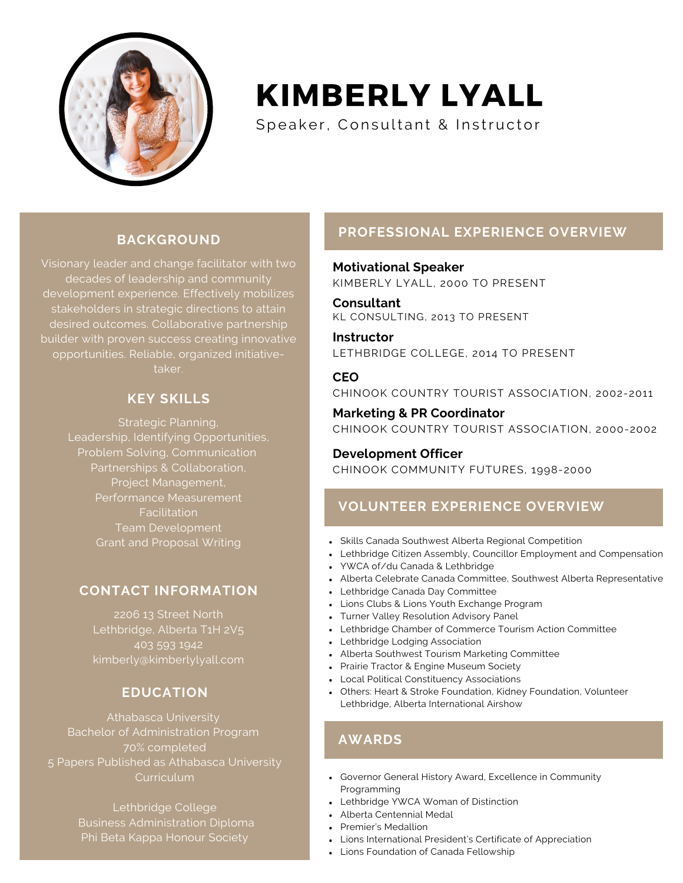

# KIMBERLY LYALL

Speaker, Consultant & Instructor

### **BACKGROUND**

Visionary leader and change facilitator with two decades of leadership and community development experience. Effectively mobilizes stakeholders in strategic directions to attain desired outcomes. Collaborative partnership builder with proven success creating innovative opportunities. Reliable, organized initiativetaker.

### **KEY SKILLS**

Strategic Planning, Leadership, Identifying Opportunities, Problem Solving, Communication Partnerships & Collaboration, Project Management, Performance Measurement **Facilitation** Team Development Grant and Proposal Writing

### **CONTACT INFORMATION**

2206 13 Street North Lethbridge, Alberta T1H 2V5 403 593 1942 kimberly@kimberlylyall.com

### **EDUCATION**

Athabasca University Bachelor of Administration Program 70% completed 5 Papers Published as Athabasca University Curriculum

> Lethbridge College Business Administration Diploma Phi Beta Kappa Honour Society

### **PROFESSIONAL EXPERIENCE OVERVIEW**

**Motivational Speaker** KIMBERLY LYALL, 2000 TO PRESENT

**Consultant** KL CONSULTING, 2013 TO PRESENT

**Instructor** LETHBRIDGE COLLEGE, 2014 TO PRESENT

### **CEO**

CHINOOK COUNTRY TOURIST ASSOCIATION, 2002-2011

**Marketing & PR Coordinator** CHINOOK COUNTRY TOURIST ASSOCIATION, 2000-2002

## **Development Officer**

CHINOOK COMMUNITY FUTURES, 1998-2000

### **VOLUNTEER EXPERIENCE OVERVIEW**

- Skills Canada Southwest Alberta Regional Competition
- Lethbridge Citizen Assembly, Councillor Employment and Compensation
- YWCA of/du Canada & Lethbridge
- Alberta Celebrate Canada Committee, Southwest Alberta Representative
- Lethbridge Canada Day Committee
- Lions Clubs & Lions Youth Exchange Program
- Turner Valley Resolution Advisory Panel
- Lethbridge Chamber of Commerce Tourism Action Committee
- Lethbridge Lodging Association
- Alberta Southwest Tourism Marketing Committee
- Prairie Tractor & Engine Museum Society
- Local Political Constituency Associations
- Others: Heart & Stroke Foundation, Kidney Foundation, Volunteer Lethbridge, Alberta International Airshow

### **AWARDS**

- Governor General History Award, Excellence in Community Programming
- Lethbridge YWCA Woman of Distinction
- Alberta Centennial Medal
- Premier's Medallion
- Lions International President's Certificate of Appreciation
- Lions Foundation of Canada Fellowship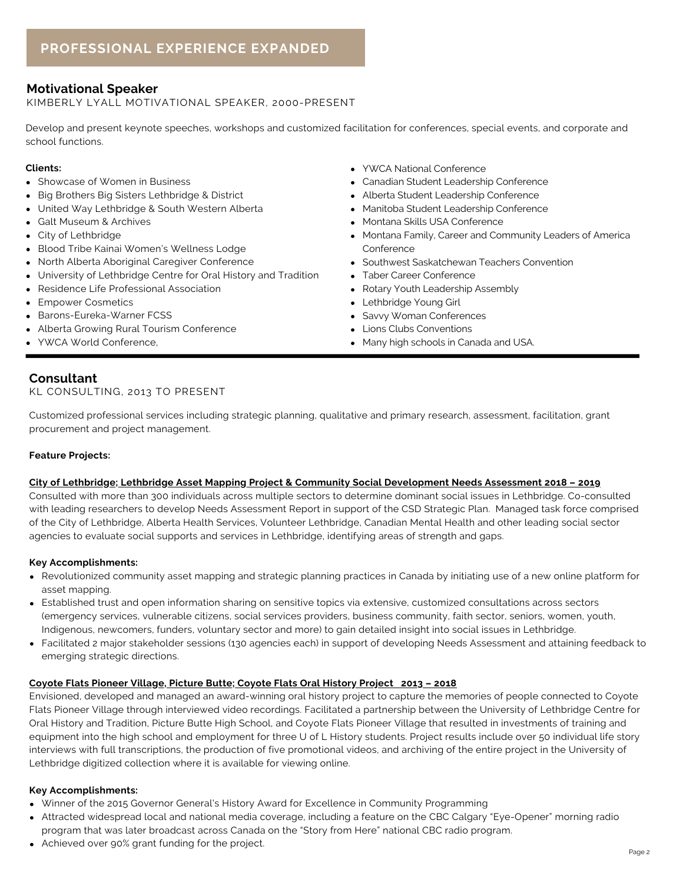#### **Motivational Speaker**

KIMBERLY LYALL MOTIVATIONAL SPEAKER, 2000-PRESENT

Develop and present keynote speeches, workshops and customized facilitation for conferences, special events, and corporate and school functions.

- Showcase of Women in Business
- Big Brothers Big Sisters Lethbridge & District
- United Way Lethbridge & South Western Alberta
- Galt Museum & Archives
- City of Lethbridge
- Blood Tribe Kainai Women's Wellness Lodge
- North Alberta Aboriginal Caregiver Conference
- University of Lethbridge Centre for Oral History and Tradition
- Residence Life Professional Association
- **Empower Cosmetics**
- Barons-Eureka-Warner FCSS
- Alberta Growing Rural Tourism Conference
- YWCA World Conference,
- **Clients:** YWCA National Conference
	- Canadian Student Leadership Conference
	- Alberta Student Leadership Conference
	- Manitoba Student Leadership Conference
	- Montana Skills USA Conference
	- Montana Family, Career and Community Leaders of America Conference
	- Southwest Saskatchewan Teachers Convention
	- Taber Career Conference
	- Rotary Youth Leadership Assembly
	- Lethbridge Young Girl
	- Savvy Woman Conferences
	- Lions Clubs Conventions
	- Many high schools in Canada and USA.

#### **Consultant**

#### KL CONSULTING, 2013 TO PRESENT

Customized professional services including strategic planning, qualitative and primary research, assessment, facilitation, grant procurement and project management.

#### **Feature Projects:**

#### **City of Lethbridge; Lethbridge Asset Mapping Project & Community Social Development Needs Assessment 2018 – 2019**

Consulted with more than 300 individuals across multiple sectors to determine dominant social issues in Lethbridge. Co-consulted with leading researchers to develop Needs Assessment Report in support of the CSD Strategic Plan. Managed task force comprised of the City of Lethbridge, Alberta Health Services, Volunteer Lethbridge, Canadian Mental Health and other leading social sector agencies to evaluate social supports and services in Lethbridge, identifying areas of strength and gaps.

#### **Key Accomplishments:**

- Revolutionized community asset mapping and strategic planning practices in Canada by initiating use of a new online platform for asset mapping.
- Established trust and open information sharing on sensitive topics via extensive, customized consultations across sectors (emergency services, vulnerable citizens, social services providers, business community, faith sector, seniors, women, youth, Indigenous, newcomers, funders, voluntary sector and more) to gain detailed insight into social issues in Lethbridge.
- Facilitated 2 major stakeholder sessions (130 agencies each) in support of developing Needs Assessment and attaining feedback to emerging strategic directions.

#### **Coyote Flats Pioneer Village, Picture Butte; Coyote Flats Oral History Project 2013 – 2018**

Envisioned, developed and managed an award-winning oral history project to capture the memories of people connected to Coyote Flats Pioneer Village through interviewed video recordings. Facilitated a partnership between the University of Lethbridge Centre for Oral History and Tradition, Picture Butte High School, and Coyote Flats Pioneer Village that resulted in investments of training and equipment into the high school and employment for three U of L History students. Project results include over 50 individual life story interviews with full transcriptions, the production of five promotional videos, and archiving of the entire project in the University of Lethbridge digitized collection where it is available for viewing online.

#### **Key Accomplishments:**

- Winner of the 2015 Governor General's History Award for Excellence in Community Programming
- Attracted widespread local and national media coverage, including a feature on the CBC Calgary "Eye-Opener" morning radio program that was later broadcast across Canada on the "Story from Here" national CBC radio program.
- Achieved over 90% grant funding for the project.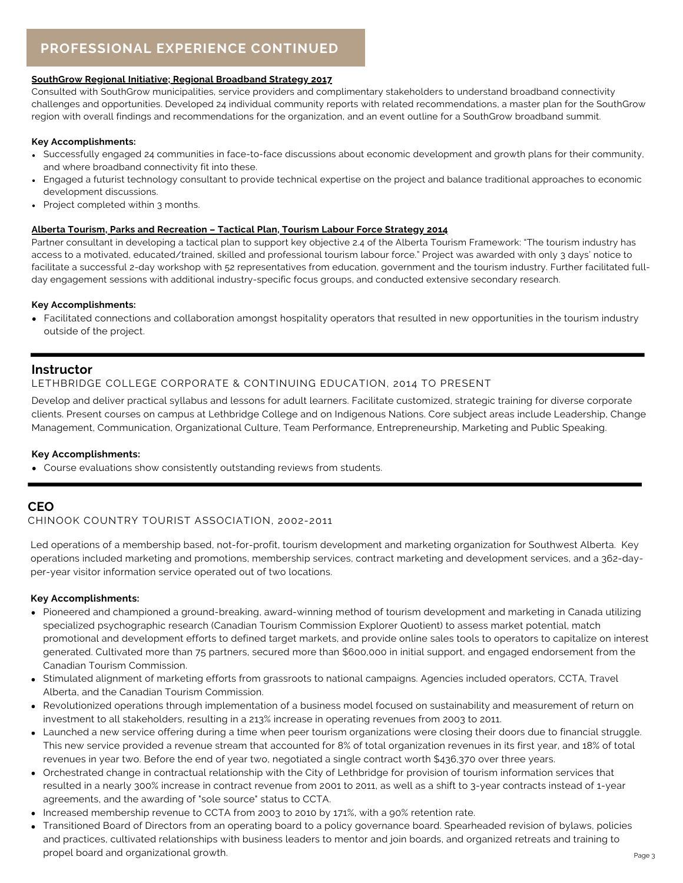### **PROFESSIONAL EXPERIENCE CONTINUED**

#### **SouthGrow Regional Initiative; Regional Broadband Strategy 2017**

Consulted with SouthGrow municipalities, service providers and complimentary stakeholders to understand broadband connectivity challenges and opportunities. Developed 24 individual community reports with related recommendations, a master plan for the SouthGrow region with overall findings and recommendations for the organization, and an event outline for a SouthGrow broadband summit.

#### **Key Accomplishments:**

- Successfully engaged 24 communities in face-to-face discussions about economic development and growth plans for their community, and where broadband connectivity fit into these.
- Engaged a futurist technology consultant to provide technical expertise on the project and balance traditional approaches to economic development discussions.
- Project completed within 3 months.

#### **Alberta Tourism, Parks and Recreation – Tactical Plan, Tourism Labour Force Strategy 2014**

Partner consultant in developing a tactical plan to support key objective 2.4 of the Alberta Tourism Framework: "The tourism industry has access to a motivated, educated/trained, skilled and professional tourism labour force." Project was awarded with only 3 days' notice to facilitate a successful 2-day workshop with 52 representatives from education, government and the tourism industry. Further facilitated fullday engagement sessions with additional industry-specific focus groups, and conducted extensive secondary research.

#### **Key Accomplishments:**

Facilitated connections and collaboration amongst hospitality operators that resulted in new opportunities in the tourism industry outside of the project.

#### **Instructor**

#### LETHBRIDGE COLLEGE CORPORATE & CONTINUING EDUCATION, 2014 TO PRESENT

Develop and deliver practical syllabus and lessons for adult learners. Facilitate customized, strategic training for diverse corporate clients. Present courses on campus at Lethbridge College and on Indigenous Nations. Core subject areas include Leadership, Change Management, Communication, Organizational Culture, Team Performance, Entrepreneurship, Marketing and Public Speaking.

#### **Key Accomplishments:**

Course evaluations show consistently outstanding reviews from students.

#### **CEO**

#### CHINOOK COUNTRY TOURIST ASSOCIATION, 2002-2011

Led operations of a membership based, not-for-profit, tourism development and marketing organization for Southwest Alberta. Key operations included marketing and promotions, membership services, contract marketing and development services, and a 362-dayper-year visitor information service operated out of two locations.

#### **Key Accomplishments:**

- Pioneered and championed a ground-breaking, award-winning method of tourism development and marketing in Canada utilizing specialized psychographic research (Canadian Tourism Commission Explorer Quotient) to assess market potential, match promotional and development efforts to defined target markets, and provide online sales tools to operators to capitalize on interest generated. Cultivated more than 75 partners, secured more than \$600,000 in initial support, and engaged endorsement from the Canadian Tourism Commission.
- Stimulated alignment of marketing efforts from grassroots to national campaigns. Agencies included operators, CCTA, Travel Alberta, and the Canadian Tourism Commission.
- Revolutionized operations through implementation of a business model focused on sustainability and measurement of return on investment to all stakeholders, resulting in a 213% increase in operating revenues from 2003 to 2011.
- Launched a new service offering during a time when peer tourism organizations were closing their doors due to financial struggle. This new service provided a revenue stream that accounted for 8% of total organization revenues in its first year, and 18% of total revenues in year two. Before the end of year two, negotiated a single contract worth \$436,370 over three years.
- Orchestrated change in contractual relationship with the City of Lethbridge for provision of tourism information services that resulted in a nearly 300% increase in contract revenue from 2001 to 2011, as well as a shift to 3-year contracts instead of 1-year agreements, and the awarding of "sole source" status to CCTA.
- Increased membership revenue to CCTA from 2003 to 2010 by 171%, with a 90% retention rate.
- Transitioned Board of Directors from an operating board to a policy governance board. Spearheaded revision of bylaws, policies and practices, cultivated relationships with business leaders to mentor and join boards, and organized retreats and training to propel board and organizational growth.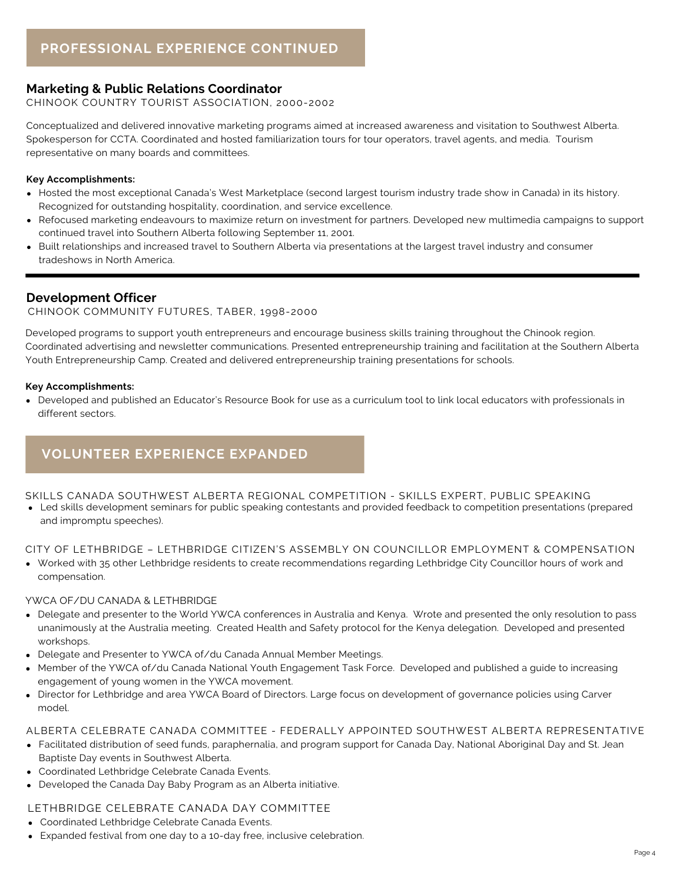#### **Marketing & Public Relations Coordinator**

CHINOOK COUNTRY TOURIST ASSOCIATION, 2000-2002

Conceptualized and delivered innovative marketing programs aimed at increased awareness and visitation to Southwest Alberta. Spokesperson for CCTA. Coordinated and hosted familiarization tours for tour operators, travel agents, and media. Tourism representative on many boards and committees.

#### **Key Accomplishments:**

- Hosted the most exceptional Canada's West Marketplace (second largest tourism industry trade show in Canada) in its history. Recognized for outstanding hospitality, coordination, and service excellence.
- Refocused marketing endeavours to maximize return on investment for partners. Developed new multimedia campaigns to support continued travel into Southern Alberta following September 11, 2001.
- Built relationships and increased travel to Southern Alberta via presentations at the largest travel industry and consumer tradeshows in North America.

#### **Development Officer**

CHINOOK COMMUNITY FUTURES, TABER, 1998-2000

Developed programs to support youth entrepreneurs and encourage business skills training throughout the Chinook region. Coordinated advertising and newsletter communications. Presented entrepreneurship training and facilitation at the Southern Alberta Youth Entrepreneurship Camp. Created and delivered entrepreneurship training presentations for schools.

#### **Key Accomplishments:**

Developed and published an Educator's Resource Book for use as a curriculum tool to link local educators with professionals in different sectors.

### **VOLUNTEER EXPERIENCE EXPANDED**

SKILLS CANADA SOUTHWEST ALBERTA REGIONAL COMPETITION - SKILLS EXPERT, PUBLIC SPEAKING

Led skills development seminars for public speaking contestants and provided feedback to competition presentations (prepared and impromptu speeches).

CITY OF LETHBRIDGE – LETHBRIDGE CITIZEN'S ASSEMBLY ON COUNCILLOR EMPLOYMENT & COMPENSATION

Worked with 35 other Lethbridge residents to create recommendations regarding Lethbridge City Councillor hours of work and compensation.

#### YWCA OF/DU CANADA & LETHBRIDGE

- Delegate and presenter to the World YWCA conferences in Australia and Kenya. Wrote and presented the only resolution to pass unanimously at the Australia meeting. Created Health and Safety protocol for the Kenya delegation. Developed and presented workshops.
- Delegate and Presenter to YWCA of/du Canada Annual Member Meetings.
- Member of the YWCA of/du Canada National Youth Engagement Task Force. Developed and published a guide to increasing engagement of young women in the YWCA movement.
- Director for Lethbridge and area YWCA Board of Directors. Large focus on development of governance policies using Carver model.

#### ALBERTA CELEBRATE CANADA COMMITTEE - FEDERALLY APPOINTED SOUTHWEST ALBERTA REPRESENTATIVE

- Facilitated distribution of seed funds, paraphernalia, and program support for Canada Day, National Aboriginal Day and St. Jean Baptiste Day events in Southwest Alberta.
- Coordinated Lethbridge Celebrate Canada Events.
- Developed the Canada Day Baby Program as an Alberta initiative.

#### LETHBRIDGE CELEBRATE CANADA DAY COMMITTEE

- Coordinated Lethbridge Celebrate Canada Events.
- Expanded festival from one day to a 10-day free, inclusive celebration.